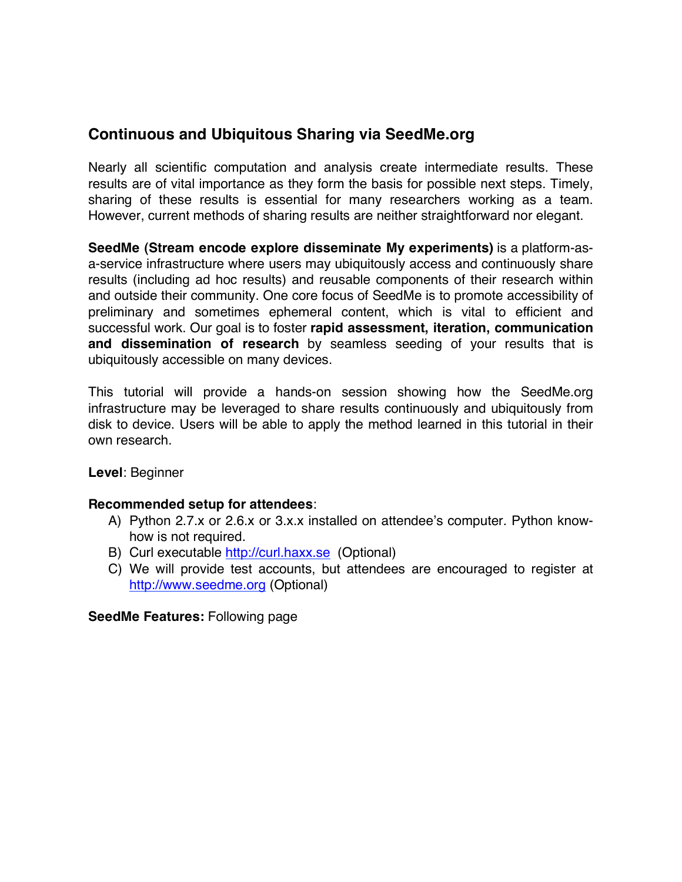## **Continuous and Ubiquitous Sharing via SeedMe.org**

Nearly all scientific computation and analysis create intermediate results. These results are of vital importance as they form the basis for possible next steps. Timely, sharing of these results is essential for many researchers working as a team. However, current methods of sharing results are neither straightforward nor elegant.

**SeedMe (Stream encode explore disseminate My experiments)** is a platform-asa-service infrastructure where users may ubiquitously access and continuously share results (including ad hoc results) and reusable components of their research within and outside their community. One core focus of SeedMe is to promote accessibility of preliminary and sometimes ephemeral content, which is vital to efficient and successful work. Our goal is to foster **rapid assessment, iteration, communication and dissemination of research** by seamless seeding of your results that is ubiquitously accessible on many devices.

This tutorial will provide a hands-on session showing how the SeedMe.org infrastructure may be leveraged to share results continuously and ubiquitously from disk to device. Users will be able to apply the method learned in this tutorial in their own research.

**Level**: Beginner

## **Recommended setup for attendees**:

- A) Python 2.7.x or 2.6.x or 3.x.x installed on attendee's computer. Python knowhow is not required.
- B) Curl executable http://curl.haxx.se (Optional)
- C) We will provide test accounts, but attendees are encouraged to register at http://www.seedme.org (Optional)

**SeedMe Features:** Following page